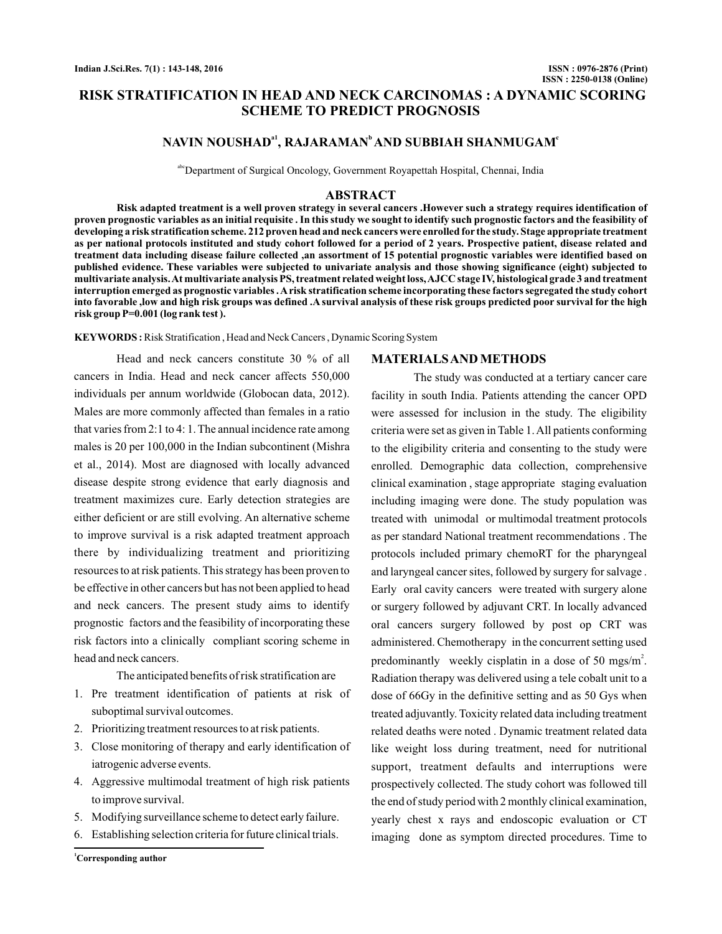# **RISK STRATIFICATION IN HEAD AND NECK CARCINOMAS : A DYNAMIC SCORING SCHEME TO PREDICT PROGNOSIS**

# NAVIN NOUSHAD<sup>a1</sup>, RAJARAMAN<sup>b</sup> AND SUBBIAH SHANMUGAM<sup>c</sup>

abcDepartment of Surgical Oncology, Government Royapettah Hospital, Chennai, India

### **ABSTRACT**

**Risk adapted treatment is a well proven strategy in several cancers .However such a strategy requires identification of proven prognostic variables as an initial requisite . In this study we sought to identify such prognostic factors and the feasibility of developing a risk stratification scheme. 212 proven head and neck cancers were enrolled for the study. Stage appropriate treatment as per national protocols instituted and study cohort followed for a period of 2 years. Prospective patient, disease related and treatment data including disease failure collected ,an assortment of 15 potential prognostic variables were identified based on published evidence. These variables were subjected to univariate analysis and those showing significance (eight) subjected to multivariate analysis.At multivariate analysis PS, treatment related weight loss,AJCC stage IV, histological grade 3 and treatment interruption emerged as prognostic variables .Arisk stratification scheme incorporating these factors segregated the study cohort into favorable ,low and high risk groups was defined .A survival analysis of these risk groups predicted poor survival for the high risk group P=0.001 (log rank test ).**

**KEYWORDS :**Risk Stratification , Head and Neck Cancers , Dynamic Scoring System

Head and neck cancers constitute 30 % of all cancers in India. Head and neck cancer affects 550,000 individuals per annum worldwide (Globocan data, 2012). Males are more commonly affected than females in a ratio that varies from 2:1 to 4: 1. The annual incidence rate among males is 20 per 100,000 in the Indian subcontinent (Mishra et al., 2014). Most are diagnosed with locally advanced disease despite strong evidence that early diagnosis and treatment maximizes cure. Early detection strategies are either deficient or are still evolving. An alternative scheme to improve survival is a risk adapted treatment approach there by individualizing treatment and prioritizing resources to at risk patients. This strategy has been proven to be effective in other cancers but has not been applied to head and neck cancers. The present study aims to identify prognostic factors and the feasibility of incorporating these risk factors into a clinically compliant scoring scheme in head and neck cancers.

The anticipated benefits of risk stratification are

- 1. Pre treatment identification of patients at risk of suboptimal survival outcomes.
- 2. Prioritizing treatment resources to at risk patients.
- 3. Close monitoring of therapy and early identification of iatrogenic adverse events.
- 4. Aggressive multimodal treatment of high risk patients to improve survival.
- 5. Modifying surveillance scheme to detect early failure.
- 6. Establishing selection criteria for future clinical trials.

**<sup>1</sup>Corresponding author**

### **MATERIALSAND METHODS**

The study was conducted at a tertiary cancer care facility in south India. Patients attending the cancer OPD were assessed for inclusion in the study. The eligibility criteria were set as given in Table 1.All patients conforming to the eligibility criteria and consenting to the study were enrolled. Demographic data collection, comprehensive clinical examination , stage appropriate staging evaluation including imaging were done. The study population was treated with unimodal or multimodal treatment protocols as per standard National treatment recommendations . The protocols included primary chemoRT for the pharyngeal and laryngeal cancer sites, followed by surgery for salvage . Early oral cavity cancers were treated with surgery alone or surgery followed by adjuvant CRT. In locally advanced oral cancers surgery followed by post op CRT was administered. Chemotherapy in the concurrent setting used predominantly weekly cisplatin in a dose of 50 mgs/m<sup>2</sup>. Radiation therapy was delivered using a tele cobalt unit to a dose of 66Gy in the definitive setting and as 50 Gys when treated adjuvantly. Toxicity related data including treatment related deaths were noted . Dynamic treatment related data like weight loss during treatment, need for nutritional support, treatment defaults and interruptions were prospectively collected. The study cohort was followed till the end of study period with 2 monthly clinical examination, yearly chest x rays and endoscopic evaluation or CT imaging done as symptom directed procedures. Time to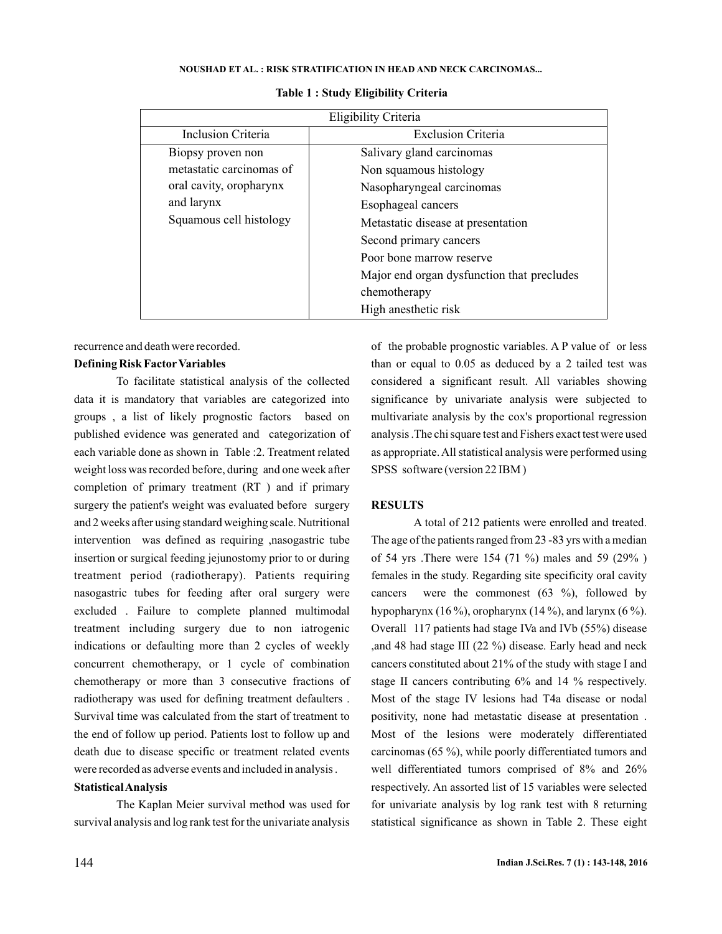| Eligibility Criteria      |                                                     |  |  |  |
|---------------------------|-----------------------------------------------------|--|--|--|
| <b>Inclusion Criteria</b> | <b>Exclusion Criteria</b>                           |  |  |  |
| Biopsy proven non         | Salivary gland carcinomas                           |  |  |  |
| metastatic carcinomas of  | Non squamous histology<br>Nasopharyngeal carcinomas |  |  |  |
| oral cavity, oropharynx   |                                                     |  |  |  |
| and larynx                | Esophageal cancers                                  |  |  |  |
| Squamous cell histology   | Metastatic disease at presentation                  |  |  |  |
|                           | Second primary cancers                              |  |  |  |
|                           | Poor bone marrow reserve                            |  |  |  |
|                           | Major end organ dysfunction that precludes          |  |  |  |
|                           | chemotherapy                                        |  |  |  |
|                           | High anesthetic risk                                |  |  |  |

#### **Table 1 : Study Eligibility Criteria**

recurrence and death were recorded.

## **Defining Risk Factor Variables**

To facilitate statistical analysis of the collected data it is mandatory that variables are categorized into groups , a list of likely prognostic factors based on published evidence was generated and categorization of each variable done as shown in Table :2. Treatment related weight loss was recorded before, during and one week after completion of primary treatment (RT ) and if primary surgery the patient's weight was evaluated before surgery and 2 weeks after using standard weighing scale. Nutritional intervention was defined as requiring ,nasogastric tube insertion or surgical feeding jejunostomy prior to or during treatment period (radiotherapy). Patients requiring nasogastric tubes for feeding after oral surgery were excluded . Failure to complete planned multimodal treatment including surgery due to non iatrogenic indications or defaulting more than 2 cycles of weekly concurrent chemotherapy, or 1 cycle of combination chemotherapy or more than 3 consecutive fractions of radiotherapy was used for defining treatment defaulters . Survival time was calculated from the start of treatment to the end of follow up period. Patients lost to follow up and death due to disease specific or treatment related events were recorded as adverse events and included in analysis .

## **StatisticalAnalysis**

The Kaplan Meier survival method was used for survival analysis and log rank test for the univariate analysis

of the probable prognostic variables. A P value of or less than or equal to 0.05 as deduced by a 2 tailed test was considered a significant result. All variables showing significance by univariate analysis were subjected to multivariate analysis by the cox's proportional regression analysis .The chi square test and Fishers exact test were used as appropriate.All statistical analysis were performed using SPSS software (version 22 IBM )

## **RESULTS**

A total of 212 patients were enrolled and treated. The age of the patients ranged from 23 -83 yrs with a median of 54 yrs .There were 154 (71 %) males and 59 (29% ) females in the study. Regarding site specificity oral cavity cancers were the commonest  $(63 \%)$ , followed by hypopharynx (16 %), oropharynx (14 %), and larynx (6 %). Overall 117 patients had stage IVa and IVb (55%) disease ,and 48 had stage III (22 %) disease. Early head and neck cancers constituted about 21% of the study with stage I and stage II cancers contributing 6% and 14 % respectively. Most of the stage IV lesions had T4a disease or nodal positivity, none had metastatic disease at presentation . Most of the lesions were moderately differentiated carcinomas (65 %), while poorly differentiated tumors and well differentiated tumors comprised of 8% and 26% respectively. An assorted list of 15 variables were selected for univariate analysis by log rank test with 8 returning statistical significance as shown in Table 2. These eight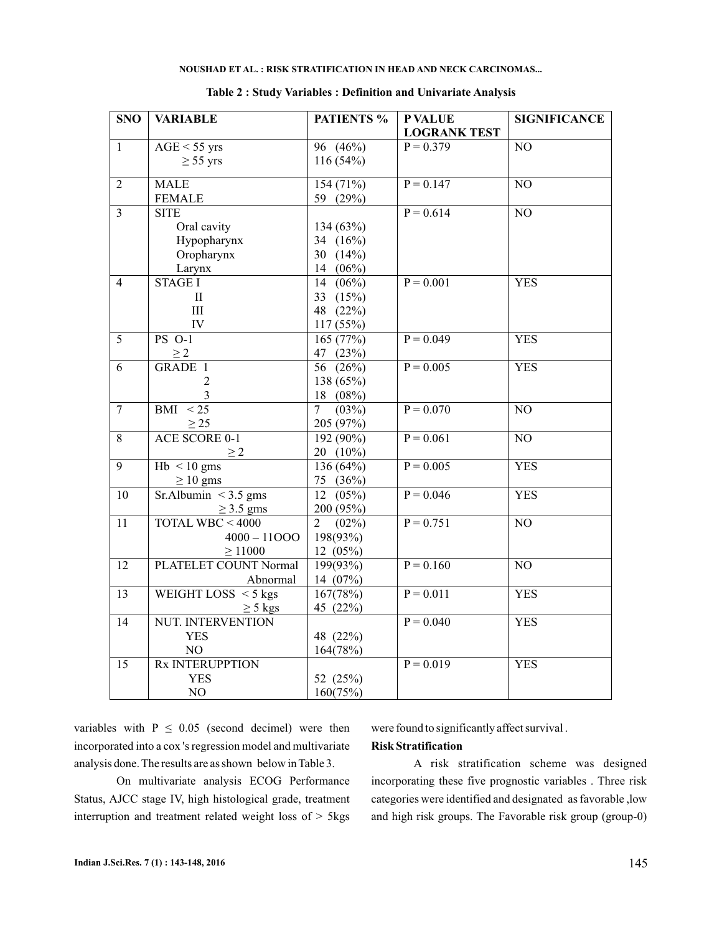| <b>SNO</b>      | <b>VARIABLE</b>           | <b>PATIENTS %</b>       | <b>P VALUE</b>      | <b>SIGNIFICANCE</b> |
|-----------------|---------------------------|-------------------------|---------------------|---------------------|
|                 |                           |                         | <b>LOGRANK TEST</b> |                     |
| $\mathbf{1}$    | $AGE < 55$ yrs            | 96 $(46\%)$             | $P = 0.379$         | $\overline{NO}$     |
|                 | $\geq$ 55 yrs             | 116(54%)                |                     |                     |
|                 |                           |                         |                     |                     |
| $\overline{2}$  | <b>MALE</b>               | 154(71%)                | $P = 0.147$         | $\overline{NO}$     |
|                 | <b>FEMALE</b>             | 59 (29%)                |                     |                     |
| $\overline{3}$  | <b>SITE</b>               |                         | $P = 0.614$         | N <sub>O</sub>      |
|                 | Oral cavity               | 134 (63%)               |                     |                     |
|                 | Hypopharynx               | 34 $(16%)$              |                     |                     |
|                 | Oropharynx                | 30 $(14%)$              |                     |                     |
|                 | Larynx                    | 14 $(06\%)$             |                     |                     |
| $\overline{4}$  | <b>STAGE I</b>            | 14 (06%)                | $P = 0.001$         | <b>YES</b>          |
|                 | $\rm II$                  | 33 (15%)                |                     |                     |
|                 | $III$                     | 48 (22%)                |                     |                     |
|                 | IV                        | 117 (55%)               |                     |                     |
| 5               | <b>PS O-1</b>             | 165 (77%)               | $P = 0.049$         | <b>YES</b>          |
|                 | $\geq$ 2                  | 47 (23%)                |                     |                     |
| 6               | <b>GRADE 1</b>            | 56 (26%)                | $P = 0.005$         | <b>YES</b>          |
|                 | 2                         | 138 (65%)               |                     |                     |
|                 |                           | 18 (08%)                |                     |                     |
| $\overline{7}$  | $BMI \leq 25$             | (03%)<br>7 <sup>7</sup> | $P = 0.070$         | NO                  |
|                 | $\geq$ 25                 | 205 (97%)               |                     |                     |
| 8               | <b>ACE SCORE 0-1</b>      | $192(90\%)$             | $P = 0.061$         | $\overline{NO}$     |
|                 | >2                        | 20 (10%)                |                     |                     |
| 9               | $Hb < 10$ gms             | 136 (64%)               | $P = 0.005$         | <b>YES</b>          |
|                 | $\geq 10$ gms             | 75 (36%)                |                     |                     |
| 10              | Sr.Albumin $\leq$ 3.5 gms | $12(05\%)$              | $P = 0.046$         | <b>YES</b>          |
|                 | $\geq$ 3.5 gms            | 200 (95%)               |                     |                     |
| $\overline{11}$ | TOTAL WBC $< 4000$        | $(02\%)$<br>2           | $P = 0.751$         | NO                  |
|                 | $4000 - 11000$            | 198(93%)                |                     |                     |
|                 | $\geq 11000$              | 12(05%)                 |                     |                     |
| 12              | PLATELET COUNT Normal     | 199(93%)                | $P = 0.160$         | NO                  |
|                 | Abnormal                  | 14 (07%)                |                     |                     |
| 13              | WEIGHT LOSS $\leq$ 5 kgs  | 167(78%)                | $P = 0.011$         | <b>YES</b>          |
|                 | $\geq$ 5 kgs              | 45 (22%)                |                     |                     |
| 14              | <b>NUT. INTERVENTION</b>  |                         | $P = 0.040$         | <b>YES</b>          |
|                 | <b>YES</b>                | 48 (22%)                |                     |                     |
|                 | NO                        | 164(78%)                |                     |                     |
| 15              | <b>Rx INTERUPPTION</b>    |                         | $P = 0.019$         | <b>YES</b>          |
|                 | <b>YES</b>                | 52 (25%)                |                     |                     |
|                 | $\rm NO$                  | 160(75%)                |                     |                     |

#### **Table 2 : Study Variables : Definition and Univariate Analysis**

variables with  $P \leq 0.05$  (second decimel) were then incorporated into a cox 's regression model and multivariate analysis done. The results are as shown below in Table 3.

On multivariate analysis ECOG Performance Status, AJCC stage IV, high histological grade, treatment interruption and treatment related weight loss of > 5kgs

were found to significantly affect survival .

## **Risk Stratification**

A risk stratification scheme was designed incorporating these five prognostic variables . Three risk categories were identified and designated as favorable ,low and high risk groups. The Favorable risk group (group-0)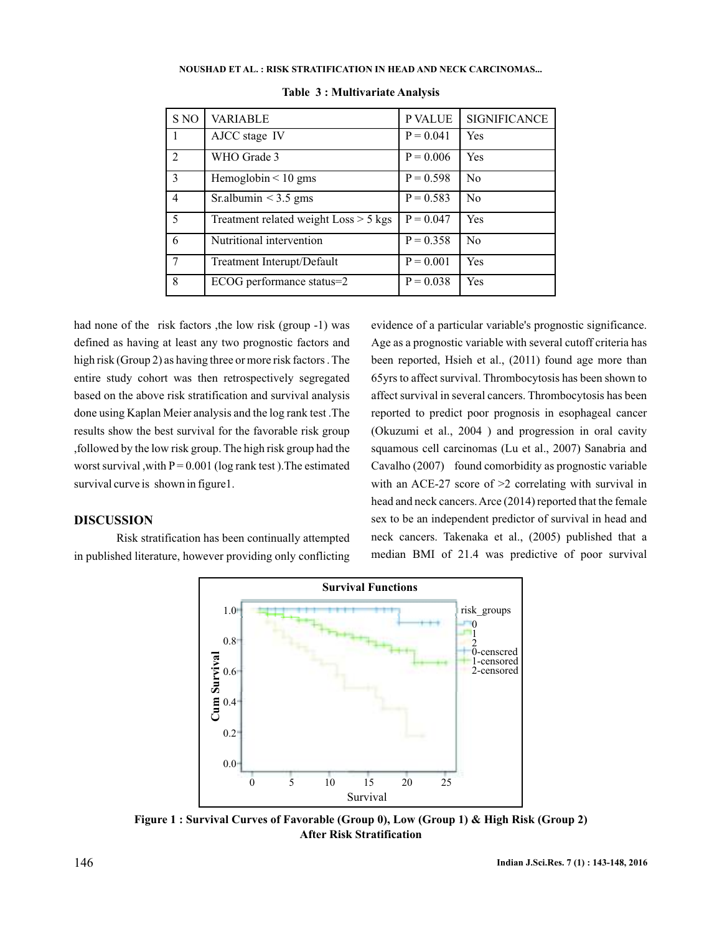| S NO           | <b>VARIABLE</b>                         | P VALUE     | <b>SIGNIFICANCE</b> |
|----------------|-----------------------------------------|-------------|---------------------|
| 1              | AJCC stage IV                           | $P = 0.041$ | Yes                 |
| 2              | WHO Grade 3                             | $P = 0.006$ | Yes                 |
| 3              | Hemoglobin $\leq 10$ gms                | $P = 0.598$ | No                  |
| $\overline{4}$ | Sr.albumin $<$ 3.5 gms                  | $P = 0.583$ | No                  |
| 5              | Treatment related weight $Loss > 5$ kgs | $P = 0.047$ | Yes                 |
| 6              | Nutritional intervention                | $P = 0.358$ | No                  |
| 7              | Treatment Interupt/Default              | $P = 0.001$ | Yes                 |
| 8              | ECOG performance status=2               | $P = 0.038$ | Yes                 |

**Table 3 : Multivariate Analysis**

had none of the risk factors , the low risk (group -1) was defined as having at least any two prognostic factors and high risk (Group 2) as having three or more risk factors. The entire study cohort was then retrospectively segregated based on the above risk stratification and survival analysis done using Kaplan Meier analysis and the log rank test .The results show the best survival for the favorable risk group ,followed by the low risk group. The high risk group had the worst survival, with  $P = 0.001$  (log rank test). The estimated survival curve is shown in figure1.

## **DISCUSSION**

Risk stratification has been continually attempted in published literature, however providing only conflicting evidence of a particular variable's prognostic significance. Age as a prognostic variable with several cutoff criteria has been reported, Hsieh et al., (2011) found age more than 65yrs to affect survival. Thrombocytosis has been shown to affect survival in several cancers. Thrombocytosis has been reported to predict poor prognosis in esophageal cancer (Okuzumi et al., 2004 ) and progression in oral cavity squamous cell carcinomas (Lu et al., 2007) Sanabria and Cavalho (2007) found comorbidity as prognostic variable with an ACE-27 score of  $\geq$  2 correlating with survival in head and neck cancers.Arce (2014) reported that the female sex to be an independent predictor of survival in head and neck cancers. Takenaka et al., (2005) published that a median BMI of 21.4 was predictive of poor survival



**Figure 1 : Survival Curves of Favorable (Group 0), Low (Group 1) & High Risk (Group 2) After Risk Stratification**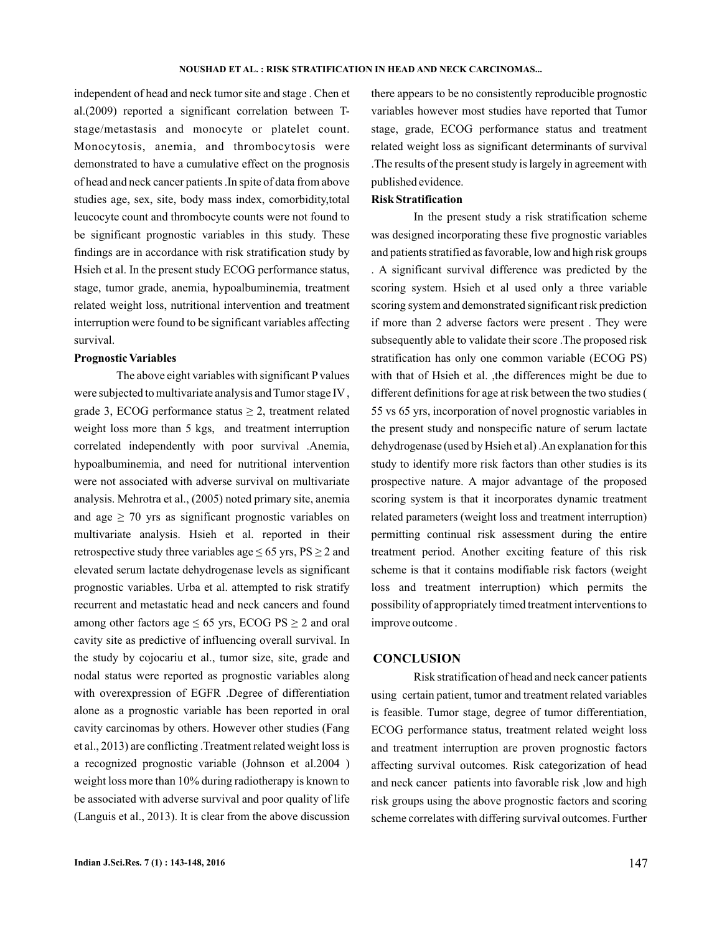independent of head and neck tumor site and stage . Chen et al.(2009) reported a significant correlation between Tstage/metastasis and monocyte or platelet count. Monocytosis, anemia, and thrombocytosis were demonstrated to have a cumulative effect on the prognosis of head and neck cancer patients .In spite of data from above studies age, sex, site, body mass index, comorbidity,total leucocyte count and thrombocyte counts were not found to be significant prognostic variables in this study. These findings are in accordance with risk stratification study by Hsieh et al. In the present study ECOG performance status, stage, tumor grade, anemia, hypoalbuminemia, treatment related weight loss, nutritional intervention and treatment interruption were found to be significant variables affecting survival.

#### **Prognostic Variables**

The above eight variables with significant P values were subjected to multivariate analysis and Tumor stage IV , grade 3, ECOG performance status  $\geq 2$ , treatment related weight loss more than 5 kgs, and treatment interruption correlated independently with poor survival .Anemia, hypoalbuminemia, and need for nutritional intervention were not associated with adverse survival on multivariate analysis. Mehrotra et al., (2005) noted primary site, anemia and age  $\geq$  70 yrs as significant prognostic variables on multivariate analysis. Hsieh et al. reported in their retrospective study three variables age  $\leq 65$  yrs,  $PS \geq 2$  and elevated serum lactate dehydrogenase levels as significant prognostic variables. Urba et al. attempted to risk stratify recurrent and metastatic head and neck cancers and found among other factors age  $\leq 65$  yrs, ECOG PS  $\geq 2$  and oral cavity site as predictive of influencing overall survival. In the study by cojocariu et al., tumor size, site, grade and nodal status were reported as prognostic variables along with overexpression of EGFR .Degree of differentiation alone as a prognostic variable has been reported in oral cavity carcinomas by others. However other studies (Fang et al., 2013) are conflicting .Treatment related weight loss is a recognized prognostic variable (Johnson et al.2004 ) weight loss more than 10% during radiotherapy is known to be associated with adverse survival and poor quality of life (Languis et al., 2013). It is clear from the above discussion there appears to be no consistently reproducible prognostic variables however most studies have reported that Tumor stage, grade, ECOG performance status and treatment related weight loss as significant determinants of survival .The results of the present study is largely in agreement with published evidence.

## **Risk Stratification**

In the present study a risk stratification scheme was designed incorporating these five prognostic variables and patients stratified as favorable, low and high risk groups . A significant survival difference was predicted by the scoring system. Hsieh et al used only a three variable scoring system and demonstrated significant risk prediction if more than 2 adverse factors were present . They were subsequently able to validate their score .The proposed risk stratification has only one common variable (ECOG PS) with that of Hsieh et al. ,the differences might be due to different definitions for age at risk between the two studies ( 55 vs 65 yrs, incorporation of novel prognostic variables in the present study and nonspecific nature of serum lactate dehydrogenase (used by Hsieh et al) .An explanation for this study to identify more risk factors than other studies is its prospective nature. A major advantage of the proposed scoring system is that it incorporates dynamic treatment related parameters (weight loss and treatment interruption) permitting continual risk assessment during the entire treatment period. Another exciting feature of this risk scheme is that it contains modifiable risk factors (weight loss and treatment interruption) which permits the possibility of appropriately timed treatment interventions to improve outcome .

### **CONCLUSION**

Risk stratification of head and neck cancer patients using certain patient, tumor and treatment related variables is feasible. Tumor stage, degree of tumor differentiation, ECOG performance status, treatment related weight loss and treatment interruption are proven prognostic factors affecting survival outcomes. Risk categorization of head and neck cancer patients into favorable risk ,low and high risk groups using the above prognostic factors and scoring scheme correlates with differing survival outcomes. Further